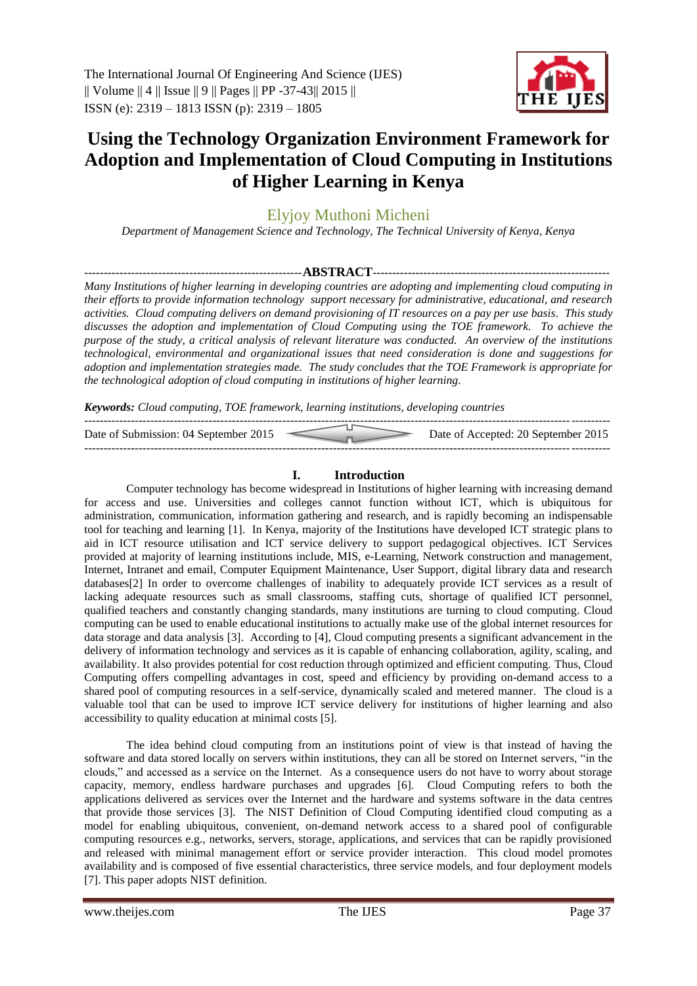

# **Using the Technology Organization Environment Framework for Adoption and Implementation of Cloud Computing in Institutions of Higher Learning in Kenya**

Elyjoy Muthoni Micheni

*Department of Management Science and Technology, The Technical University of Kenya, Kenya*

*--------------------------------------------------------***ABSTRACT***-------------------------------------------------------------*

*Many Institutions of higher learning in developing countries are adopting and implementing cloud computing in their efforts to provide information technology support necessary for administrative, educational, and research activities. Cloud computing delivers on demand provisioning of IT resources on a pay per use basis. This study discusses the adoption and implementation of Cloud Computing using the TOE framework. To achieve the purpose of the study, a critical analysis of relevant literature was conducted. An overview of the institutions technological, environmental and organizational issues that need consideration is done and suggestions for adoption and implementation strategies made. The study concludes that the TOE Framework is appropriate for the technological adoption of cloud computing in institutions of higher learning.*

*Keywords: Cloud computing, TOE framework, learning institutions, developing countries*

| Date of Submission: 04 September 2015 | Date of Accepted: 20 September 2015 |
|---------------------------------------|-------------------------------------|
|                                       |                                     |

# **I. Introduction**

Computer technology has become widespread in Institutions of higher learning with increasing demand for access and use. Universities and colleges cannot function without ICT, which is ubiquitous for administration, communication, information gathering and research, and is rapidly becoming an indispensable tool for teaching and learning [1]. In Kenya, majority of the Institutions have developed ICT strategic plans to aid in ICT resource utilisation and ICT service delivery to support pedagogical objectives. ICT Services provided at majority of learning institutions include, MIS, e-Learning, Network construction and management, Internet, Intranet and email, Computer Equipment Maintenance, User Support, digital library data and research databases[2] In order to overcome challenges of inability to adequately provide ICT services as a result of lacking adequate resources such as small classrooms, staffing cuts, shortage of qualified ICT personnel, qualified teachers and constantly changing standards, many institutions are turning to cloud computing. Cloud computing can be used to enable educational institutions to actually make use of the global internet resources for data storage and data analysis [3]. According to [4], Cloud computing presents a significant advancement in the delivery of information technology and services as it is capable of enhancing collaboration, agility, scaling, and availability. It also provides potential for cost reduction through optimized and efficient computing. Thus, Cloud Computing offers compelling advantages in cost, speed and efficiency by providing on-demand access to a shared pool of computing resources in a self-service, dynamically scaled and metered manner. The cloud is a valuable tool that can be used to improve ICT service delivery for institutions of higher learning and also accessibility to quality education at minimal costs [5].

The idea behind cloud computing from an institutions point of view is that instead of having the software and data stored locally on servers within institutions, they can all be stored on Internet servers, "in the clouds," and accessed as a service on the Internet. As a consequence users do not have to worry about storage capacity, memory, endless hardware purchases and upgrades [6]. Cloud Computing refers to both the applications delivered as services over the Internet and the hardware and systems software in the data centres that provide those services [3]*.* The NIST Definition of Cloud Computing identified cloud computing as a model for enabling ubiquitous, convenient, on-demand network access to a shared pool of configurable computing resources e.g., networks, servers, storage, applications, and services that can be rapidly provisioned and released with minimal management effort or service provider interaction. This cloud model promotes availability and is composed of five essential characteristics, three service models, and four deployment models [7]. This paper adopts NIST definition.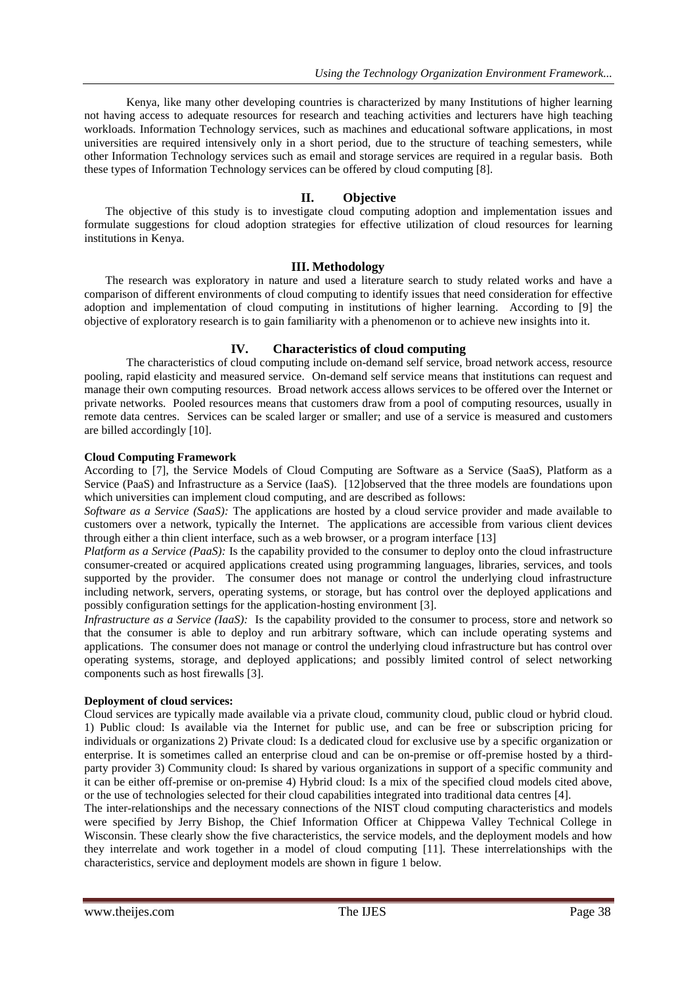Kenya, like many other developing countries is characterized by many Institutions of higher learning not having access to adequate resources for research and teaching activities and lecturers have high teaching workloads. Information Technology services, such as machines and educational software applications, in most universities are required intensively only in a short period, due to the structure of teaching semesters, while other Information Technology services such as email and storage services are required in a regular basis. Both these types of Information Technology services can be offered by cloud computing [8].

## **II. Objective**

The objective of this study is to investigate cloud computing adoption and implementation issues and formulate suggestions for cloud adoption strategies for effective utilization of cloud resources for learning institutions in Kenya.

#### **III. Methodology**

The research was exploratory in nature and used a literature search to study related works and have a comparison of different environments of cloud computing to identify issues that need consideration for effective adoption and implementation of cloud computing in institutions of higher learning. According to [9] the objective of exploratory research is to gain familiarity with a phenomenon or to achieve new insights into it.

## **IV. Characteristics of cloud computing**

The characteristics of cloud computing include on-demand self service, broad network access, resource pooling, rapid elasticity and measured service. On-demand self service means that institutions can request and manage their own computing resources. Broad network access allows services to be offered over the Internet or private networks. Pooled resources means that customers draw from a pool of computing resources, usually in remote data centres. Services can be scaled larger or smaller; and use of a service is measured and customers are billed accordingly [10].

#### **Cloud Computing Framework**

According to [7], the Service Models of Cloud Computing are Software as a Service (SaaS), Platform as a Service (PaaS) and Infrastructure as a Service (IaaS). [12]observed that the three models are foundations upon which universities can implement cloud computing, and are described as follows:

*Software as a Service (SaaS):* The applications are hosted by a cloud service provider and made available to customers over a network, typically the Internet. The applications are accessible from various client devices through either a thin client interface, such as a web browser, or a program interface [13]

*Platform as a Service (PaaS):* Is the capability provided to the consumer to deploy onto the cloud infrastructure consumer-created or acquired applications created using programming languages, libraries, services, and tools supported by the provider. The consumer does not manage or control the underlying cloud infrastructure including network, servers, operating systems, or storage, but has control over the deployed applications and possibly configuration settings for the application-hosting environment [3].

*Infrastructure as a Service (IaaS):* Is the capability provided to the consumer to process, store and network so that the consumer is able to deploy and run arbitrary software, which can include operating systems and applications. The consumer does not manage or control the underlying cloud infrastructure but has control over operating systems, storage, and deployed applications; and possibly limited control of select networking components such as host firewalls [3].

#### **Deployment of cloud services:**

Cloud services are typically made available via a private cloud, community cloud, public cloud or hybrid cloud. 1) Public cloud: Is available via the Internet for public use, and can be free or subscription pricing for individuals or organizations 2) Private cloud: Is a dedicated cloud for exclusive use by a specific organization or enterprise. It is sometimes called an enterprise cloud and can be on-premise or off-premise hosted by a thirdparty provider 3) Community cloud: Is shared by various organizations in support of a specific community and it can be either off-premise or on-premise 4) Hybrid cloud: Is a mix of the specified cloud models cited above, or the use of technologies selected for their cloud capabilities integrated into traditional data centres [4].

The inter-relationships and the necessary connections of the NIST cloud computing characteristics and models were specified by Jerry Bishop, the Chief Information Officer at Chippewa Valley Technical College in Wisconsin. These clearly show the five characteristics, the service models, and the deployment models and how they interrelate and work together in a model of cloud computing [11]. These interrelationships with the characteristics, service and deployment models are shown in figure 1 below.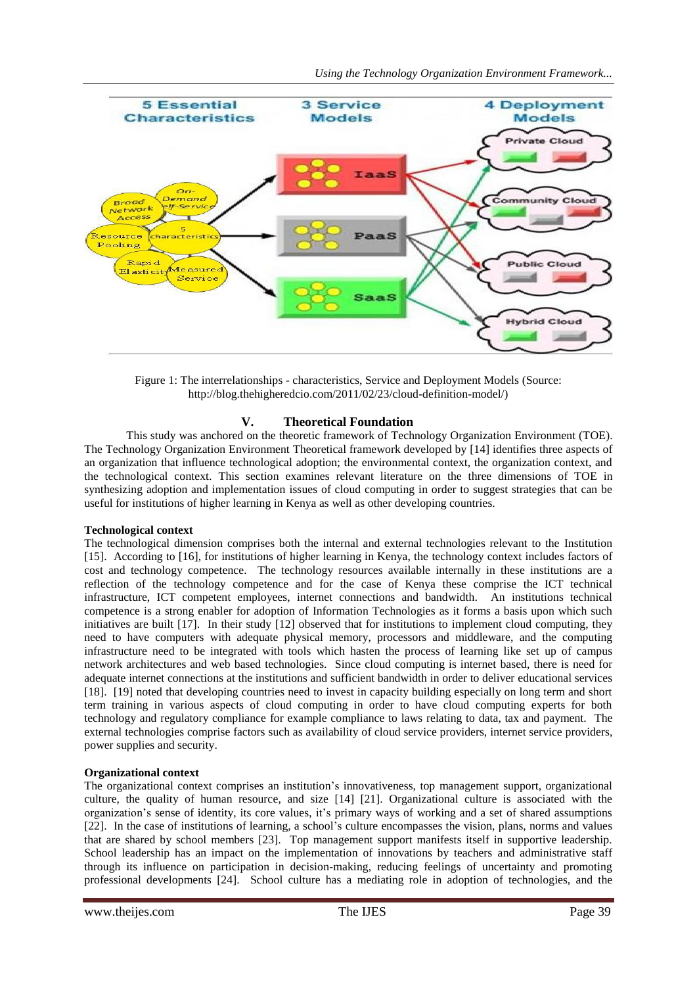

Figure 1: The interrelationships - characteristics, Service and Deployment Models (Source: http://blog.thehigheredcio.com/2011/02/23/cloud-definition-model/)

# **V. Theoretical Foundation**

This study was anchored on the theoretic framework of Technology Organization Environment (TOE). The Technology Organization Environment Theoretical framework developed by [14] identifies three aspects of an organization that influence technological adoption; the environmental context, the organization context, and the technological context. This section examines relevant literature on the three dimensions of TOE in synthesizing adoption and implementation issues of cloud computing in order to suggest strategies that can be useful for institutions of higher learning in Kenya as well as other developing countries.

#### **Technological context**

The technological dimension comprises both the internal and external technologies relevant to the Institution [15]. According to [16], for institutions of higher learning in Kenya, the technology context includes factors of cost and technology competence. The technology resources available internally in these institutions are a reflection of the technology competence and for the case of Kenya these comprise the ICT technical infrastructure, ICT competent employees, internet connections and bandwidth. An institutions technical competence is a strong enabler for adoption of Information Technologies as it forms a basis upon which such initiatives are built [17]. In their study [12] observed that for institutions to implement cloud computing, they need to have computers with adequate physical memory, processors and middleware, and the computing infrastructure need to be integrated with tools which hasten the process of learning like set up of campus network architectures and web based technologies. Since cloud computing is internet based, there is need for adequate internet connections at the institutions and sufficient bandwidth in order to deliver educational services [18]. [19] noted that developing countries need to invest in capacity building especially on long term and short term training in various aspects of cloud computing in order to have cloud computing experts for both technology and regulatory compliance for example compliance to laws relating to data, tax and payment. The external technologies comprise factors such as availability of cloud service providers, internet service providers, power supplies and security.

# **Organizational context**

The organizational context comprises an institution's innovativeness, top management support, organizational culture, the quality of human resource, and size [14] [21]. Organizational culture is associated with the organization's sense of identity, its core values, it's primary ways of working and a set of shared assumptions [22]. In the case of institutions of learning, a school's culture encompasses the vision, plans, norms and values that are shared by school members [23]. Top management support manifests itself in supportive leadership. School leadership has an impact on the implementation of innovations by teachers and administrative staff through its influence on participation in decision-making, reducing feelings of uncertainty and promoting professional developments [24]. School culture has a mediating role in adoption of technologies, and the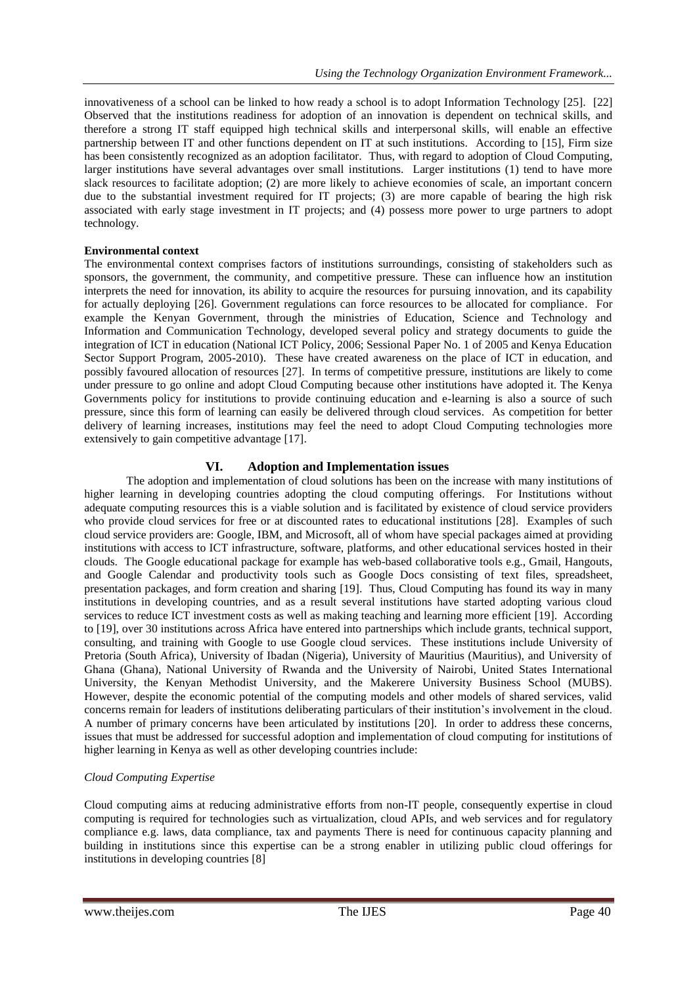innovativeness of a school can be linked to how ready a school is to adopt Information Technology [25]. [22] Observed that the institutions readiness for adoption of an innovation is dependent on technical skills, and therefore a strong IT staff equipped high technical skills and interpersonal skills, will enable an effective partnership between IT and other functions dependent on IT at such institutions. According to [15], Firm size has been consistently recognized as an adoption facilitator. Thus, with regard to adoption of Cloud Computing, larger institutions have several advantages over small institutions. Larger institutions (1) tend to have more slack resources to facilitate adoption; (2) are more likely to achieve economies of scale, an important concern due to the substantial investment required for IT projects; (3) are more capable of bearing the high risk associated with early stage investment in IT projects; and (4) possess more power to urge partners to adopt technology.

## **Environmental context**

The environmental context comprises factors of institutions surroundings, consisting of stakeholders such as sponsors, the government, the community, and competitive pressure. These can influence how an institution interprets the need for innovation, its ability to acquire the resources for pursuing innovation, and its capability for actually deploying [26]. Government regulations can force resources to be allocated for compliance. For example the Kenyan Government, through the ministries of Education, Science and Technology and Information and Communication Technology, developed several policy and strategy documents to guide the integration of ICT in education (National ICT Policy, 2006; Sessional Paper No. 1 of 2005 and Kenya Education Sector Support Program, 2005-2010). These have created awareness on the place of ICT in education, and possibly favoured allocation of resources [27]. In terms of competitive pressure, institutions are likely to come under pressure to go online and adopt Cloud Computing because other institutions have adopted it. The Kenya Governments policy for institutions to provide continuing education and e-learning is also a source of such pressure, since this form of learning can easily be delivered through cloud services. As competition for better delivery of learning increases, institutions may feel the need to adopt Cloud Computing technologies more extensively to gain competitive advantage [17].

# **VI. Adoption and Implementation issues**

The adoption and implementation of cloud solutions has been on the increase with many institutions of higher learning in developing countries adopting the cloud computing offerings. For Institutions without adequate computing resources this is a viable solution and is facilitated by existence of cloud service providers who provide cloud services for free or at discounted rates to educational institutions [28]. Examples of such cloud service providers are: Google, IBM, and Microsoft, all of whom have special packages aimed at providing institutions with access to ICT infrastructure, software, platforms, and other educational services hosted in their clouds. The Google educational package for example has web-based collaborative tools e.g., Gmail, Hangouts, and Google Calendar and productivity tools such as Google Docs consisting of text files, spreadsheet, presentation packages, and form creation and sharing [19]. Thus, Cloud Computing has found its way in many institutions in developing countries, and as a result several institutions have started adopting various cloud services to reduce ICT investment costs as well as making teaching and learning more efficient [19]. According to [19], over 30 institutions across Africa have entered into partnerships which include grants, technical support, consulting, and training with Google to use Google cloud services. These institutions include University of Pretoria (South Africa), University of Ibadan (Nigeria), University of Mauritius (Mauritius), and University of Ghana (Ghana), National University of Rwanda and the University of Nairobi, United States International University, the Kenyan Methodist University, and the Makerere University Business School (MUBS). However, despite the economic potential of the computing models and other models of shared services, valid concerns remain for leaders of institutions deliberating particulars of their institution's involvement in the cloud. A number of primary concerns have been articulated by institutions [20]. In order to address these concerns, issues that must be addressed for successful adoption and implementation of cloud computing for institutions of higher learning in Kenya as well as other developing countries include:

# *Cloud Computing Expertise*

Cloud computing aims at reducing administrative efforts from non-IT people, consequently expertise in cloud computing is required for technologies such as virtualization, cloud APIs, and web services and for regulatory compliance e.g. laws, data compliance, tax and payments There is need for continuous capacity planning and building in institutions since this expertise can be a strong enabler in utilizing public cloud offerings for institutions in developing countries [8]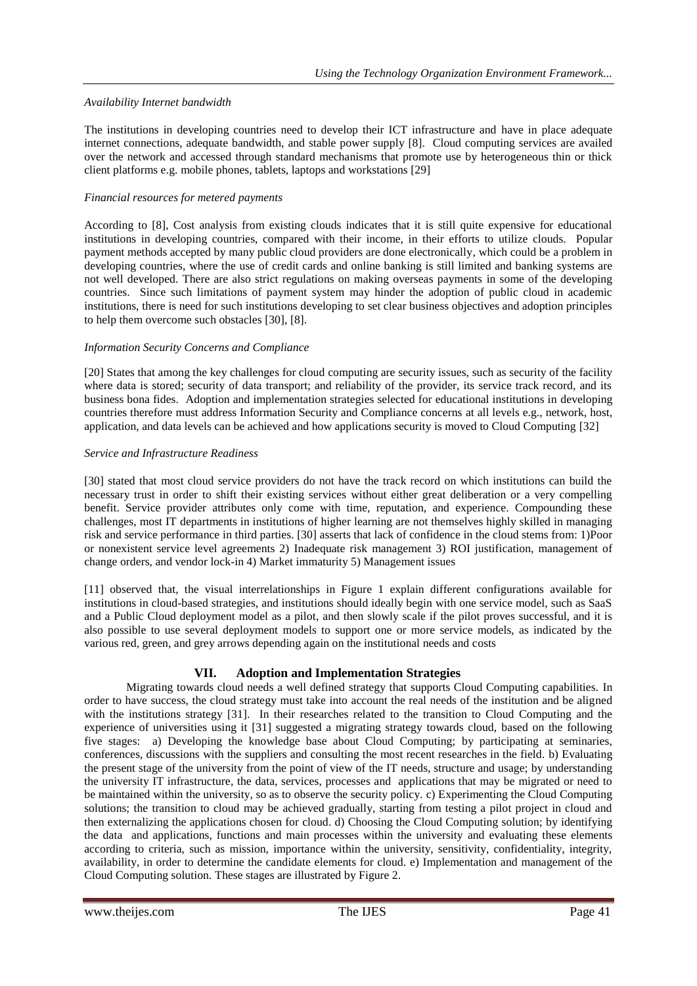# *Availability Internet bandwidth*

The institutions in developing countries need to develop their ICT infrastructure and have in place adequate internet connections, adequate bandwidth, and stable power supply [8]. Cloud computing services are availed over the network and accessed through standard mechanisms that promote use by heterogeneous thin or thick client platforms e.g. mobile phones, tablets, laptops and workstations [29]

## *Financial resources for metered payments*

According to [8], Cost analysis from existing clouds indicates that it is still quite expensive for educational institutions in developing countries, compared with their income, in their efforts to utilize clouds. Popular payment methods accepted by many public cloud providers are done electronically, which could be a problem in developing countries, where the use of credit cards and online banking is still limited and banking systems are not well developed. There are also strict regulations on making overseas payments in some of the developing countries. Since such limitations of payment system may hinder the adoption of public cloud in academic institutions, there is need for such institutions developing to set clear business objectives and adoption principles to help them overcome such obstacles [30], [8].

## *Information Security Concerns and Compliance*

[20] States that among the key challenges for cloud computing are security issues, such as security of the facility where data is stored; security of data transport; and reliability of the provider, its service track record, and its business bona fides. Adoption and implementation strategies selected for educational institutions in developing countries therefore must address Information Security and Compliance concerns at all levels e.g., network, host, application, and data levels can be achieved and how applications security is moved to Cloud Computing [32]

## *Service and Infrastructure Readiness*

[30] stated that most cloud service providers do not have the track record on which institutions can build the necessary trust in order to shift their existing services without either great deliberation or a very compelling benefit. Service provider attributes only come with time, reputation, and experience. Compounding these challenges, most IT departments in institutions of higher learning are not themselves highly skilled in managing risk and service performance in third parties. [30] asserts that lack of confidence in the cloud stems from: 1)Poor or nonexistent service level agreements 2) Inadequate risk management 3) ROI justification, management of change orders, and vendor lock-in 4) Market immaturity 5) Management issues

[11] observed that, the visual interrelationships in Figure 1 explain different configurations available for institutions in cloud-based strategies, and institutions should ideally begin with one service model, such as SaaS and a Public Cloud deployment model as a pilot, and then slowly scale if the pilot proves successful, and it is also possible to use several deployment models to support one or more service models, as indicated by the various red, green, and grey arrows depending again on the institutional needs and costs

# **VII. Adoption and Implementation Strategies**

Migrating towards cloud needs a well defined strategy that supports Cloud Computing capabilities. In order to have success, the cloud strategy must take into account the real needs of the institution and be aligned with the institutions strategy [31]. In their researches related to the transition to Cloud Computing and the experience of universities using it [31] suggested a migrating strategy towards cloud, based on the following five stages: a) Developing the knowledge base about Cloud Computing; by participating at seminaries, conferences, discussions with the suppliers and consulting the most recent researches in the field. b) Evaluating the present stage of the university from the point of view of the IT needs, structure and usage; by understanding the university IT infrastructure, the data, services, processes and applications that may be migrated or need to be maintained within the university, so as to observe the security policy. c) Experimenting the Cloud Computing solutions; the transition to cloud may be achieved gradually, starting from testing a pilot project in cloud and then externalizing the applications chosen for cloud. d) Choosing the Cloud Computing solution; by identifying the data and applications, functions and main processes within the university and evaluating these elements according to criteria, such as mission, importance within the university, sensitivity, confidentiality, integrity, availability, in order to determine the candidate elements for cloud. e) Implementation and management of the Cloud Computing solution. These stages are illustrated by Figure 2.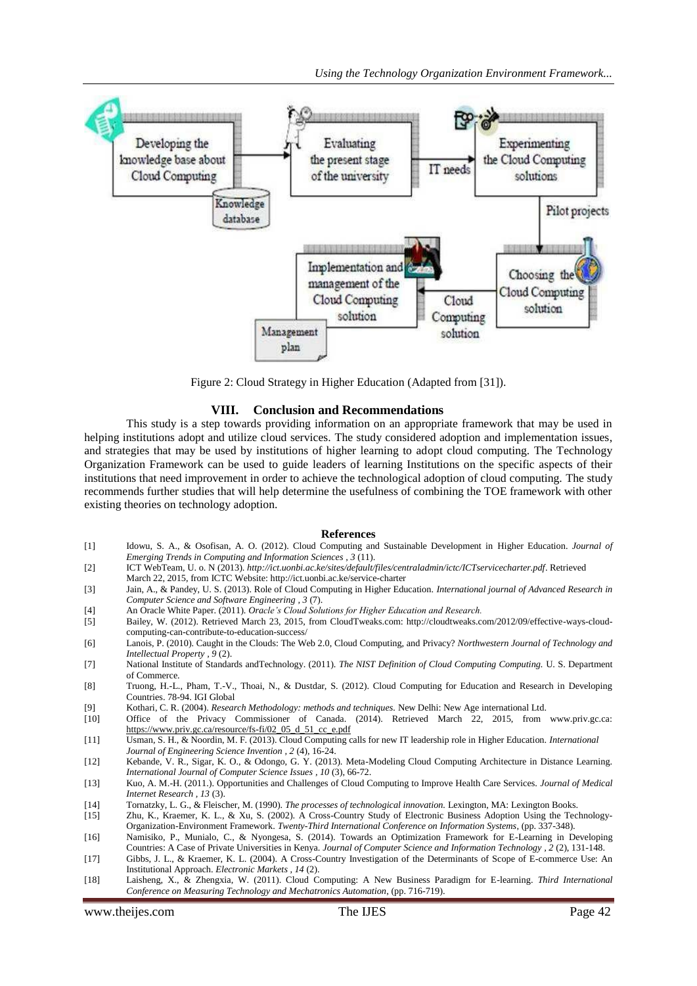

Figure 2: Cloud Strategy in Higher Education (Adapted from [31]).

#### **VIII. Conclusion and Recommendations**

This study is a step towards providing information on an appropriate framework that may be used in helping institutions adopt and utilize cloud services. The study considered adoption and implementation issues, and strategies that may be used by institutions of higher learning to adopt cloud computing. The Technology Organization Framework can be used to guide leaders of learning Institutions on the specific aspects of their institutions that need improvement in order to achieve the technological adoption of cloud computing. The study recommends further studies that will help determine the usefulness of combining the TOE framework with other existing theories on technology adoption.

#### **References**

- [1] Idowu, S. A., & Osofisan, A. O. (2012). Cloud Computing and Sustainable Development in Higher Education. *Journal of Emerging Trends in Computing and Information Sciences , 3* (11).
- [2] ICT WebTeam, U. o. N (2013). *http://ict.uonbi.ac.ke/sites/default/files/centraladmin/ictc/ICTservicecharter.pdf*. Retrieved
- March 22, 2015, from ICTC Website: http://ict.uonbi.ac.ke/service-charter [3] Jain, A., & Pandey, U. S. (2013). Role of Cloud Computing in Higher Education. *International journal of Advanced Research in*
- *Computer Science and Software Engineering , 3* (7).
- [4] An Oracle White Paper. (2011). *Oracle's Cloud Solutions for Higher Education and Research.*
- [5] Bailey, W. (2012). Retrieved March 23, 2015, from CloudTweaks.com: http://cloudtweaks.com/2012/09/effective-ways-cloudcomputing-can-contribute-to-education-success/
- [6] Lanois, P. (2010). Caught in the Clouds: The Web 2.0, Cloud Computing, and Privacy? *Northwestern Journal of Technology and Intellectual Property , 9* (2).
- [7] National Institute of Standards andTechnology. (2011). *The NIST Definition of Cloud Computing Computing.* U. S. Department of Commerce.
- [8] Truong, H.-L., Pham, T.-V., Thoai, N., & Dustdar, S. (2012). Cloud Computing for Education and Research in Developing Countries. 78-94. IGI Global
- [9] Kothari, C. R. (2004). *Research Methodology: methods and techniques.* New Delhi: New Age international Ltd.
- [10] Office of the Privacy Commissioner of Canada. (2014). Retrieved March 22, 2015, from www.priv.gc.ca: [https://www.priv.gc.ca/resource/fs-fi/02\\_05\\_d\\_51\\_cc\\_e.pdf](https://www.priv.gc.ca/resource/fs-fi/02_05_d_51_cc_e.pdf)
- [11] Usman, S. H., & Noordin, M. F. (2013). Cloud Computing calls for new IT leadership role in Higher Education. *International Journal of Engineering Science Invention , 2* (4), 16-24.
- [12] Kebande, V. R., Sigar, K. O., & Odongo, G. Y. (2013). Meta-Modeling Cloud Computing Architecture in Distance Learning. *International Journal of Computer Science Issues , 10* (3), 66-72.
- [13] Kuo, A. M.-H. (2011.). Opportunities and Challenges of Cloud Computing to Improve Health Care Services. *Journal of Medical Internet Research , 13* (3).
- [14] Tornatzky, L. G., & Fleischer, M. (1990). *The processes of technological innovation.* Lexington, MA: Lexington Books.
- [15] Zhu, K., Kraemer, K. L., & Xu, S. (2002). A Cross-Country Study of Electronic Business Adoption Using the Technology-Organization-Environment Framework. *Twenty-Third International Conference on Information Systems*, (pp. 337-348).
- [16] Namisiko, P., Munialo, C., & Nyongesa, S. (2014). Towards an Optimization Framework for E-Learning in Developing Countries: A Case of Private Universities in Kenya. *Journal of Computer Science and Information Technology , 2* (2), 131-148.
- [17] Gibbs, J. L., & Kraemer, K. L. (2004). A Cross-Country Investigation of the Determinants of Scope of E-commerce Use: An Institutional Approach. *Electronic Markets , 14* (2).
- [18] Laisheng, X., & Zhengxia, W. (2011). Cloud Computing: A New Business Paradigm for E-learning. *Third International Conference on Measuring Technology and Mechatronics Automation*, (pp. 716-719).